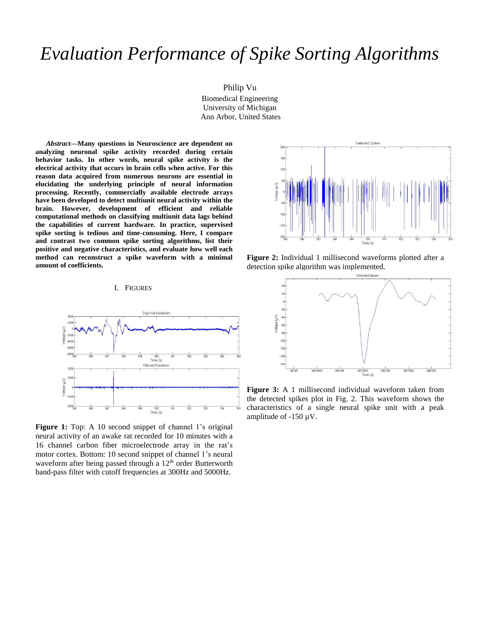# *Evaluation Performance of Spike Sorting Algorithms*

Philip Vu Biomedical Engineering University of Michigan Ann Arbor, United States

*Abstract***—Many questions in Neuroscience are dependent on analyzing neuronal spike activity recorded during certain behavior tasks. In other words, neural spike activity is the electrical activity that occurs in brain cells when active. For this reason data acquired from numerous neurons are essential in elucidating the underlying principle of neural information processing. Recently, commercially available electrode arrays have been developed to detect multiunit neural activity within the brain. However, development of efficient and reliable computational methods on classifying multiunit data lags behind the capabilities of current hardware. In practice, supervised spike sorting is tedious and time-consuming. Here, I compare and contrast two common spike sorting algorithms, list their positive and negative characteristics, and evaluate how well each method can reconstruct a spike waveform with a minimal amount of coefficients.** 



Figure 1: Top: A 10 second snippet of channel 1's original neural activity of an awake rat recorded for 10 minutes with a 16 channel carbon fiber microelectrode array in the rat's motor cortex. Bottom: 10 second snippet of channel 1's neural waveform after being passed through a 12<sup>th</sup> order Butterworth band-pass filter with cutoff frequencies at 300Hz and 5000Hz.



**Figure 2:** Individual 1 millisecond waveforms plotted after a detection spike algorithm was implemented.



**Figure 3:** A 1 millisecond individual waveform taken from the detected spikes plot in Fig. 2. This waveform shows the characteristics of a single neural spike unit with a peak amplitude of  $-150 \mu V$ .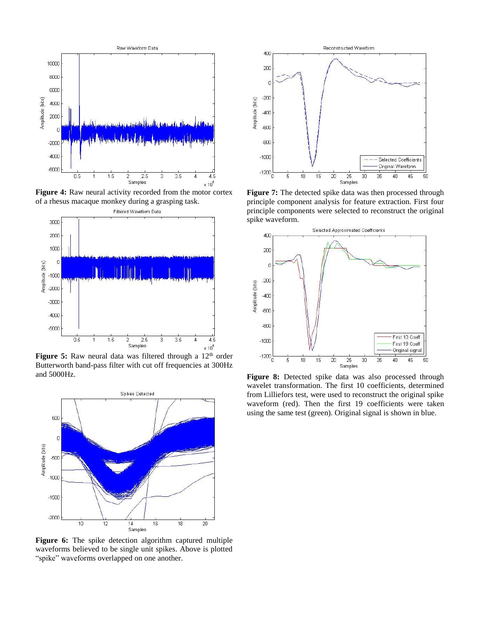

Figure 4: Raw neural activity recorded from the motor cortex of a rhesus macaque monkey during a grasping task.



**Figure 5:** Raw neural data was filtered through a 12<sup>th</sup> order Butterworth band-pass filter with cut off frequencies at 300Hz and 5000Hz.



**Figure 6:** The spike detection algorithm captured multiple waveforms believed to be single unit spikes. Above is plotted "spike" waveforms overlapped on one another.



**Figure 7:** The detected spike data was then processed through principle component analysis for feature extraction. First four principle components were selected to reconstruct the original spike waveform.



**Figure 8:** Detected spike data was also processed through wavelet transformation. The first 10 coefficients, determined from Lilliefors test, were used to reconstruct the original spike waveform (red). Then the first 19 coefficients were taken using the same test (green). Original signal is shown in blue.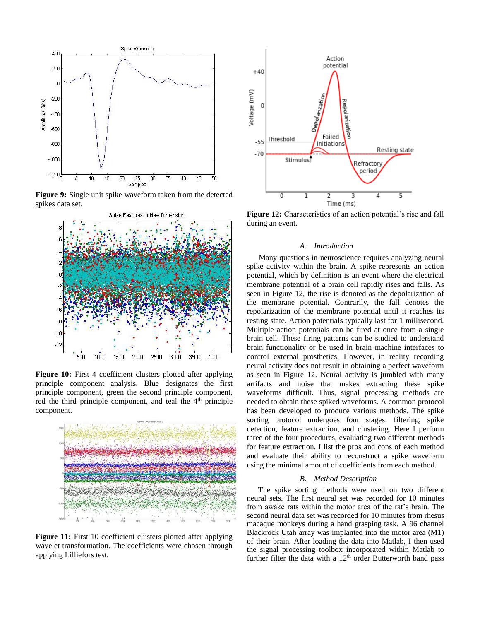

**Figure 9:** Single unit spike waveform taken from the detected spikes data set.



**Figure 10:** First 4 coefficient clusters plotted after applying principle component analysis. Blue designates the first principle component, green the second principle component, red the third principle component, and teal the  $4<sup>th</sup>$  principle component.



**Figure 11:** First 10 coefficient clusters plotted after applying wavelet transformation. The coefficients were chosen through applying Lilliefors test.



**Figure 12:** Characteristics of an action potential's rise and fall during an event.

## *A. Introduction*

 Many questions in neuroscience requires analyzing neural spike activity within the brain. A spike represents an action potential, which by definition is an event where the electrical membrane potential of a brain cell rapidly rises and falls. As seen in Figure 12, the rise is denoted as the depolarization of the membrane potential. Contrarily, the fall denotes the repolarization of the membrane potential until it reaches its resting state. Action potentials typically last for 1 millisecond. Multiple action potentials can be fired at once from a single brain cell. These firing patterns can be studied to understand brain functionality or be used in brain machine interfaces to control external prosthetics. However, in reality recording neural activity does not result in obtaining a perfect waveform as seen in Figure 12. Neural activity is jumbled with many artifacts and noise that makes extracting these spike waveforms difficult. Thus, signal processing methods are needed to obtain these spiked waveforms. A common protocol has been developed to produce various methods. The spike sorting protocol undergoes four stages: filtering, spike detection, feature extraction, and clustering. Here I perform three of the four procedures, evaluating two different methods for feature extraction. I list the pros and cons of each method and evaluate their ability to reconstruct a spike waveform using the minimal amount of coefficients from each method.

#### *B. Method Description*

The spike sorting methods were used on two different neural sets. The first neural set was recorded for 10 minutes from awake rats within the motor area of the rat's brain. The second neural data set was recorded for 10 minutes from rhesus macaque monkeys during a hand grasping task. A 96 channel Blackrock Utah array was implanted into the motor area (M1) of their brain. After loading the data into Matlab, I then used the signal processing toolbox incorporated within Matlab to further filter the data with a 12<sup>th</sup> order Butterworth band pass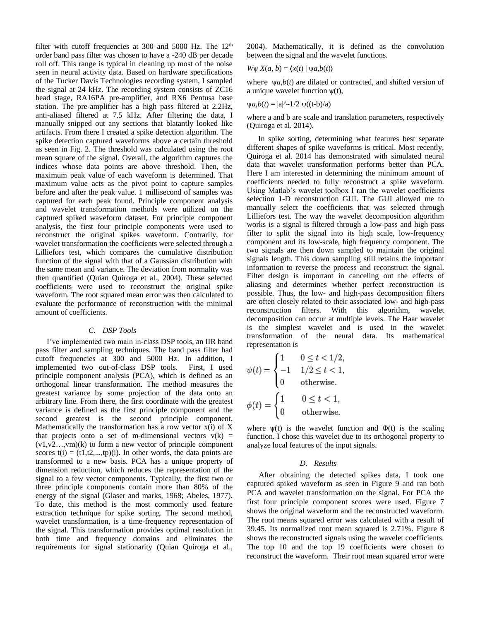filter with cutoff frequencies at 300 and 5000 Hz. The  $12<sup>th</sup>$ order band pass filter was chosen to have a -240 dB per decade roll off. This range is typical in cleaning up most of the noise seen in neural activity data. Based on hardware specifications of the Tucker Davis Technologies recording system, I sampled the signal at 24 kHz. The recording system consists of ZC16 head stage, RA16PA pre-amplifier, and RX6 Pentusa base station. The pre-amplifier has a high pass filtered at 2.2Hz, anti-aliased filtered at 7.5 kHz. After filtering the data, I manually snipped out any sections that blatantly looked like artifacts. From there I created a spike detection algorithm. The spike detection captured waveforms above a certain threshold as seen in Fig. 2. The threshold was calculated using the root mean square of the signal. Overall, the algorithm captures the indices whose data points are above threshold. Then, the maximum peak value of each waveform is determined. That maximum value acts as the pivot point to capture samples before and after the peak value. 1 millisecond of samples was captured for each peak found. Principle component analysis and wavelet transformation methods were utilized on the captured spiked waveform dataset. For principle component analysis, the first four principle components were used to reconstruct the original spikes waveform. Contrarily, for wavelet transformation the coefficients were selected through a Lilliefors test, which compares the cumulative distribution function of the signal with that of a Gaussian distribution with the same mean and variance. The deviation from normality was then quantified (Quian Quiroga et al., 2004). These selected coefficients were used to reconstruct the original spike waveform. The root squared mean error was then calculated to evaluate the performance of reconstruction with the minimal amount of coefficients.

## *C. DSP Tools*

I've implemented two main in-class DSP tools, an IIR band pass filter and sampling techniques. The band pass filter had cutoff frequencies at 300 and 5000 Hz. In addition, I implemented two out-of-class DSP tools. First, I used principle component analysis (PCA), which is defined as an orthogonal linear transformation. The method measures the greatest variance by some projection of the data onto an arbitrary line. From there, the first coordinate with the greatest variance is defined as the first principle component and the second greatest is the second principle component. Mathematically the transformation has a row vector  $x(i)$  of X that projects onto a set of m-dimensional vectors  $v(k)$  =  $(v1,v2...v)$ <sup>(k)</sup> to form a new vector of principle component scores  $t(i) = (t1,t2,...,tp)(i)$ . In other words, the data points are transformed to a new basis. PCA has a unique property of dimension reduction, which reduces the representation of the signal to a few vector components. Typically, the first two or three principle components contain more than 80% of the energy of the signal (Glaser and marks, 1968; Abeles, 1977). To date, this method is the most commonly used feature extraction technique for spike sorting. The second method, wavelet transformation, is a time-frequency representation of the signal. This transformation provides optimal resolution in both time and frequency domains and eliminates the requirements for signal stationarity (Quian Quiroga et al.,

2004). Mathematically, it is defined as the convolution between the signal and the wavelet functions.

$$
W\psi X(a, b) = \langle x(t) | \psi a, b(t) \rangle
$$

where ψ*a*,*b*(*t*) are dilated or contracted, and shifted version of a unique wavelet function  $\psi(t)$ ,

$$
\psi a, b(t) = |a|^{2} - 1/2 \psi((t-b)/a)
$$

where a and b are scale and translation parameters, respectively (Quiroga et al. 2014).

In spike sorting, determining what features best separate different shapes of spike waveforms is critical. Most recently, Quiroga et al. 2014 has demonstrated with simulated neural data that wavelet transformation performs better than PCA. Here I am interested in determining the minimum amount of coefficients needed to fully reconstruct a spike waveform. Using Matlab's wavelet toolbox I ran the wavelet coefficients selection 1-D reconstruction GUI. The GUI allowed me to manually select the coefficients that was selected through Lilliefors test. The way the wavelet decomposition algorithm works is a signal is filtered through a low-pass and high pass filter to split the signal into its high scale, low-frequency component and its low-scale, high frequency component. The two signals are then down sampled to maintain the original signals length. This down sampling still retains the important information to reverse the process and reconstruct the signal. Filter design is important in canceling out the effects of aliasing and determines whether perfect reconstruction is possible. Thus, the low- and high-pass decomposition filters are often closely related to their associated low- and high-pass reconstruction filters. With this algorithm, wavelet decomposition can occur at multiple levels. The Haar wavelet is the simplest wavelet and is used in the wavelet transformation of the neural data. Its mathematical representation is

$$
\psi(t) = \begin{cases}\n1 & 0 \leq t < 1/2, \\
-1 & 1/2 \leq t < 1, \\
0 & \text{otherwise.} \n\end{cases}
$$
\n
$$
\phi(t) = \begin{cases}\n1 & 0 \leq t < 1, \\
0 & \text{otherwise.}\n\end{cases}
$$

where  $\psi(t)$  is the wavelet function and  $\Phi(t)$  is the scaling function. I chose this wavelet due to its orthogonal property to analyze local features of the input signals.

#### *D. Results*

 After obtaining the detected spikes data, I took one captured spiked waveform as seen in Figure 9 and ran both PCA and wavelet transformation on the signal. For PCA the first four principle component scores were used. Figure 7 shows the original waveform and the reconstructed waveform. The root means squared error was calculated with a result of 39.45. Its normalized root mean squared is 2.71%. Figure 8 shows the reconstructed signals using the wavelet coefficients. The top 10 and the top 19 coefficients were chosen to reconstruct the waveform. Their root mean squared error were